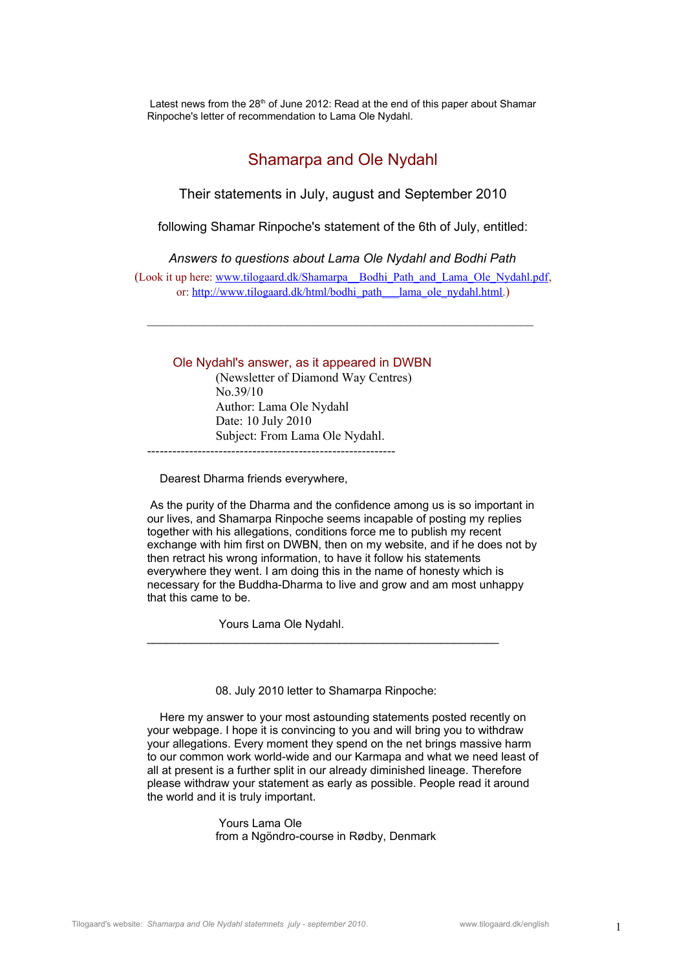Latest news from the  $28<sup>th</sup>$  of June 2012: Read at the end of this paper about Shamar Rinpoche's letter of recommendation to Lama Ole Nydahl.

# Shamarpa and Ole Nydahl

Their statements in July, august and September 2010

following Shamar Rinpoche's statement of the 6th of July, entitled:

*Answers to questions about Lama Ole Nydahl and Bodhi Path*

(Look it up here: [www.tilogaard.dk/Shamarpa\\_\\_Bodhi\\_Path\\_and\\_Lama\\_Ole\\_Nydahl.pdf](http://www.tilogaard.dk/Shamarpa__Bodhi_Path_and_Lama_Ole_Nydahl.pdf), or: [http://www.tilogaard.dk/html/bodhi\\_path\\_\\_\\_lama\\_ole\\_nydahl.html](http://www.tilogaard.dk/html/bodhi_path___lama_ole_nydahl.html).)

 $\mathcal{L}_\text{max}$  and the contract of the contract of the contract of the contract of the contract of the contract of

## Ole Nydahl's answer, as it appeared in DWBN

(Newsletter of Diamond Way Centres) No.39/10 Author: Lama Ole Nydahl Date: 10 July 2010 Subject: From Lama Ole Nydahl. -----------------------------------------------------------

Dearest Dharma friends everywhere,

 As the purity of the Dharma and the confidence among us is so important in our lives, and Shamarpa Rinpoche seems incapable of posting my replies together with his allegations, conditions force me to publish my recent exchange with him first on DWBN, then on my website, and if he does not by then retract his wrong information, to have it follow his statements everywhere they went. I am doing this in the name of honesty which is necessary for the Buddha-Dharma to live and grow and am most unhappy that this came to be.

Yours Lama Ole Nydahl.

08. July 2010 letter to Shamarpa Rinpoche:

\_\_\_\_\_\_\_\_\_\_\_\_\_\_\_\_\_\_\_\_\_\_\_\_\_\_\_\_\_\_\_\_\_\_\_\_\_\_\_\_\_\_\_\_\_\_\_\_\_\_\_\_\_\_\_

 Here my answer to your most astounding statements posted recently on your webpage. I hope it is convincing to you and will bring you to withdraw your allegations. Every moment they spend on the net brings massive harm to our common work world-wide and our Karmapa and what we need least of all at present is a further split in our already diminished lineage. Therefore please withdraw your statement as early as possible. People read it around the world and it is truly important.

> Yours Lama Ole from a Ngöndro-course in Rødby, Denmark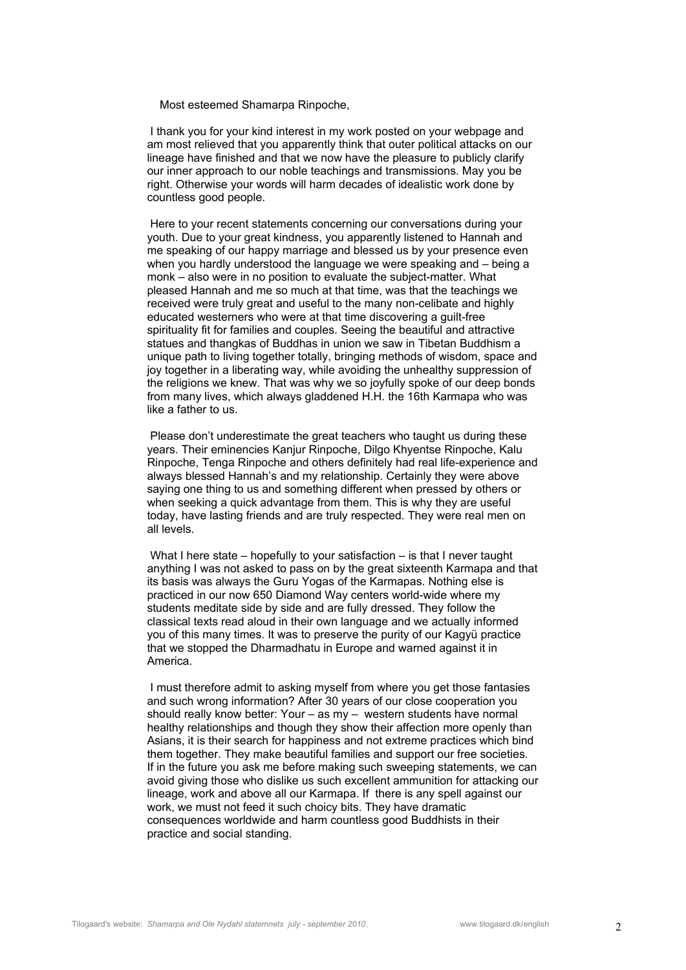Most esteemed Shamarpa Rinpoche,

 I thank you for your kind interest in my work posted on your webpage and am most relieved that you apparently think that outer political attacks on our lineage have finished and that we now have the pleasure to publicly clarify our inner approach to our noble teachings and transmissions. May you be right. Otherwise your words will harm decades of idealistic work done by countless good people.

 Here to your recent statements concerning our conversations during your youth. Due to your great kindness, you apparently listened to Hannah and me speaking of our happy marriage and blessed us by your presence even when you hardly understood the language we were speaking and – being a monk – also were in no position to evaluate the subject-matter. What pleased Hannah and me so much at that time, was that the teachings we received were truly great and useful to the many non-celibate and highly educated westerners who were at that time discovering a guilt-free spirituality fit for families and couples. Seeing the beautiful and attractive statues and thangkas of Buddhas in union we saw in Tibetan Buddhism a unique path to living together totally, bringing methods of wisdom, space and joy together in a liberating way, while avoiding the unhealthy suppression of the religions we knew. That was why we so joyfully spoke of our deep bonds from many lives, which always gladdened H.H. the 16th Karmapa who was like a father to us.

 Please don't underestimate the great teachers who taught us during these years. Their eminencies Kanjur Rinpoche, Dilgo Khyentse Rinpoche, Kalu Rinpoche, Tenga Rinpoche and others definitely had real life-experience and always blessed Hannah's and my relationship. Certainly they were above saying one thing to us and something different when pressed by others or when seeking a quick advantage from them. This is why they are useful today, have lasting friends and are truly respected. They were real men on all levels.

 What I here state – hopefully to your satisfaction – is that I never taught anything I was not asked to pass on by the great sixteenth Karmapa and that its basis was always the Guru Yogas of the Karmapas. Nothing else is practiced in our now 650 Diamond Way centers world-wide where my students meditate side by side and are fully dressed. They follow the classical texts read aloud in their own language and we actually informed you of this many times. It was to preserve the purity of our Kagyü practice that we stopped the Dharmadhatu in Europe and warned against it in America.

 I must therefore admit to asking myself from where you get those fantasies and such wrong information? After 30 years of our close cooperation you should really know better: Your – as my – western students have normal healthy relationships and though they show their affection more openly than Asians, it is their search for happiness and not extreme practices which bind them together. They make beautiful families and support our free societies. If in the future you ask me before making such sweeping statements, we can avoid giving those who dislike us such excellent ammunition for attacking our lineage, work and above all our Karmapa. If there is any spell against our work, we must not feed it such choicy bits. They have dramatic consequences worldwide and harm countless good Buddhists in their practice and social standing.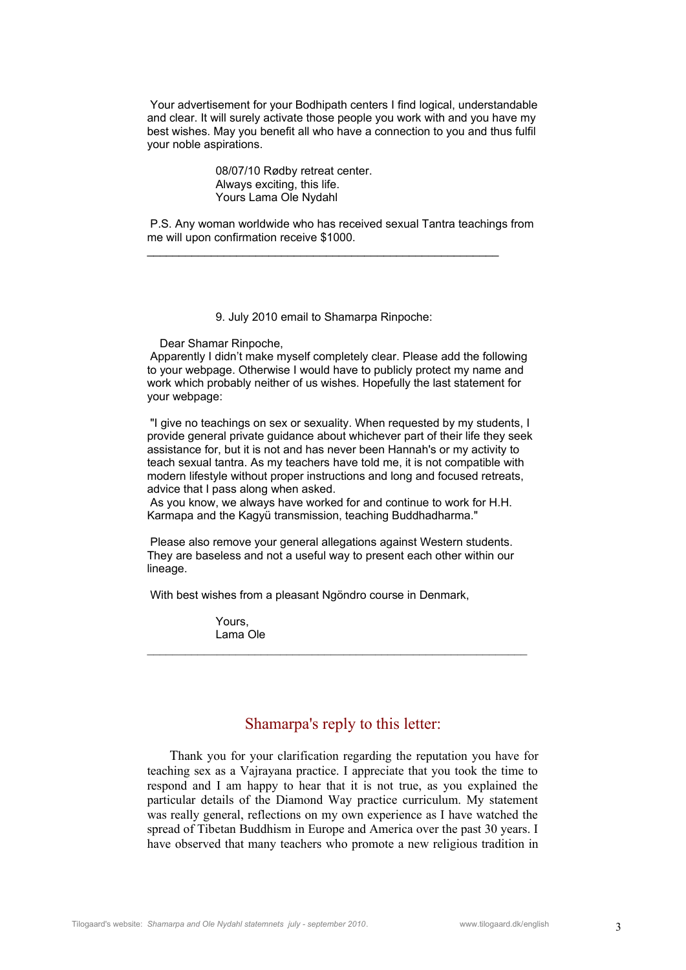Your advertisement for your Bodhipath centers I find logical, understandable and clear. It will surely activate those people you work with and you have my best wishes. May you benefit all who have a connection to you and thus fulfil your noble aspirations.

> 08/07/10 Rødby retreat center. Always exciting, this life. Yours Lama Ole Nydahl

 P.S. Any woman worldwide who has received sexual Tantra teachings from me will upon confirmation receive \$1000.

9. July 2010 email to Shamarpa Rinpoche:

Dear Shamar Rinpoche,

 Apparently I didn't make myself completely clear. Please add the following to your webpage. Otherwise I would have to publicly protect my name and work which probably neither of us wishes. Hopefully the last statement for your webpage:

 "I give no teachings on sex or sexuality. When requested by my students, I provide general private guidance about whichever part of their life they seek assistance for, but it is not and has never been Hannah's or my activity to teach sexual tantra. As my teachers have told me, it is not compatible with modern lifestyle without proper instructions and long and focused retreats, advice that I pass along when asked.

 As you know, we always have worked for and continue to work for H.H. Karmapa and the Kagyü transmission, teaching Buddhadharma."

 Please also remove your general allegations against Western students. They are baseless and not a useful way to present each other within our lineage.

With best wishes from a pleasant Ngöndro course in Denmark,

Yours, Lama Ole

## Shamarpa's reply to this letter:

 $\mathcal{L}_\text{max}$  and the contract of the contract of the contract of the contract of the contract of the contract of

 Thank you for your clarification regarding the reputation you have for teaching sex as a Vajrayana practice. I appreciate that you took the time to respond and I am happy to hear that it is not true, as you explained the particular details of the Diamond Way practice curriculum. My statement was really general, reflections on my own experience as I have watched the spread of Tibetan Buddhism in Europe and America over the past 30 years. I have observed that many teachers who promote a new religious tradition in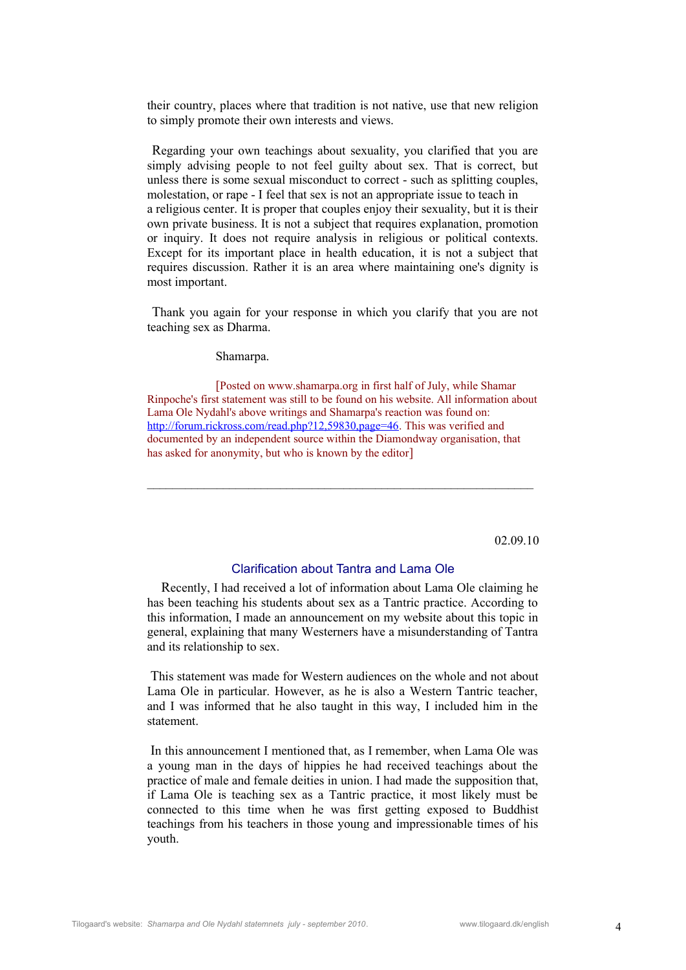their country, places where that tradition is not native, use that new religion to simply promote their own interests and views.

Regarding your own teachings about sexuality, you clarified that you are simply advising people to not feel guilty about sex. That is correct, but unless there is some sexual misconduct to correct - such as splitting couples, molestation, or rape - I feel that sex is not an appropriate issue to teach in a religious center. It is proper that couples enjoy their sexuality, but it is their own private business. It is not a subject that requires explanation, promotion or inquiry. It does not require analysis in religious or political contexts. Except for its important place in health education, it is not a subject that requires discussion. Rather it is an area where maintaining one's dignity is most important.

Thank you again for your response in which you clarify that you are not teaching sex as Dharma.

Shamarpa.

[Posted on www.shamarpa.org in first half of July, while Shamar Rinpoche's first statement was still to be found on his website. All information about Lama Ole Nydahl's above writings and Shamarpa's reaction was found on: http://forum.rickross.com/read.php?12,59830.page=46. This was verified and documented by an independent source within the Diamondway organisation, that has asked for anonymity, but who is known by the editor]

 $\mathcal{L}_\text{max}$  and the contract of the contract of the contract of the contract of the contract of the contract of

02.09.10

#### Clarification about Tantra and Lama Ole

 Recently, I had received a lot of information about Lama Ole claiming he has been teaching his students about sex as a Tantric practice. According to this information, I made an announcement on my website about this topic in general, explaining that many Westerners have a misunderstanding of Tantra and its relationship to sex.

This statement was made for Western audiences on the whole and not about Lama Ole in particular. However, as he is also a Western Tantric teacher, and I was informed that he also taught in this way, I included him in the statement.

In this announcement I mentioned that, as I remember, when Lama Ole was a young man in the days of hippies he had received teachings about the practice of male and female deities in union. I had made the supposition that, if Lama Ole is teaching sex as a Tantric practice, it most likely must be connected to this time when he was first getting exposed to Buddhist teachings from his teachers in those young and impressionable times of his youth.